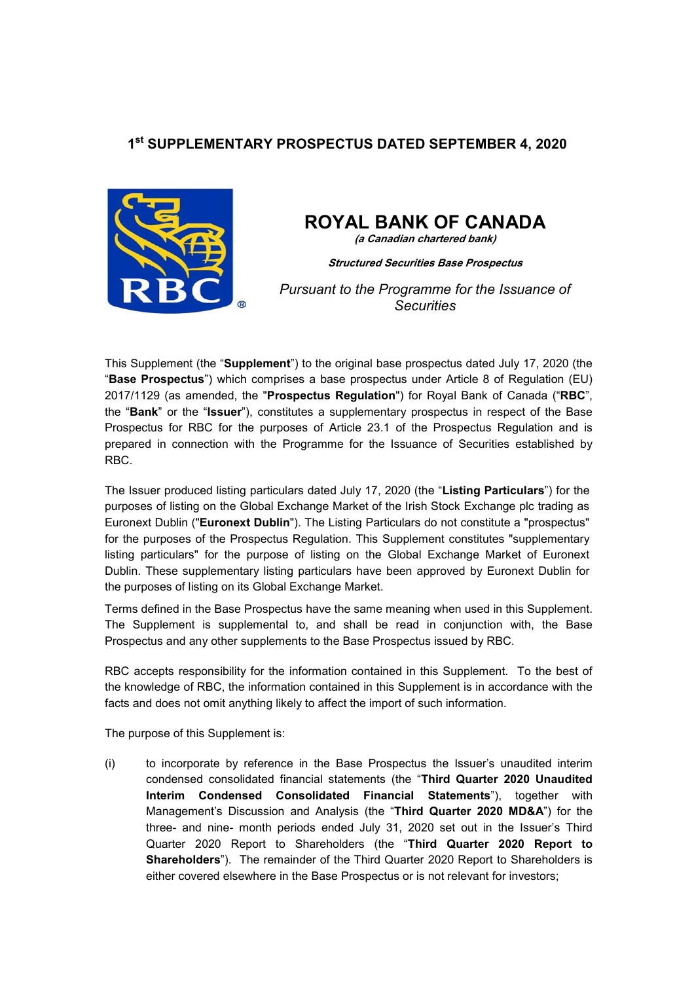## **1st SUPPLEMENTARY PROSPECTUS DATED SEPTEMBER 4, 2020**



# **ROYAL BANK OF CANADA**

**(a Canadian chartered bank)**

**Structured Securities Base Prospectus**

*Pursuant to the Programme for the Issuance of Securities* 

This Supplement (the "**Supplement**") to the original base prospectus dated July 17, 2020 (the "**Base Prospectus**") which comprises a base prospectus under Article 8 of Regulation (EU) 2017/1129 (as amended, the "**Prospectus Regulation**") for Royal Bank of Canada ("**RBC**", the "**Bank**" or the "**Issuer**"), constitutes a supplementary prospectus in respect of the Base Prospectus for RBC for the purposes of Article 23.1 of the Prospectus Regulation and is prepared in connection with the Programme for the Issuance of Securities established by RBC.

The Issuer produced listing particulars dated July 17, 2020 (the "**Listing Particulars**") for the purposes of listing on the Global Exchange Market of the Irish Stock Exchange plc trading as Euronext Dublin ("**Euronext Dublin**"). The Listing Particulars do not constitute a "prospectus" for the purposes of the Prospectus Regulation. This Supplement constitutes "supplementary listing particulars" for the purpose of listing on the Global Exchange Market of Euronext Dublin. These supplementary listing particulars have been approved by Euronext Dublin for the purposes of listing on its Global Exchange Market.

Terms defined in the Base Prospectus have the same meaning when used in this Supplement. The Supplement is supplemental to, and shall be read in conjunction with, the Base Prospectus and any other supplements to the Base Prospectus issued by RBC.

RBC accepts responsibility for the information contained in this Supplement. To the best of the knowledge of RBC, the information contained in this Supplement is in accordance with the facts and does not omit anything likely to affect the import of such information.

The purpose of this Supplement is:

(i) to incorporate by reference in the Base Prospectus the Issuer's unaudited interim condensed consolidated financial statements (the "**Third Quarter 2020 Unaudited Interim Condensed Consolidated Financial Statements**"), together with Management's Discussion and Analysis (the "**Third Quarter 2020 MD&A**") for the three- and nine- month periods ended July 31, 2020 set out in the Issuer's Third Quarter 2020 Report to Shareholders (the "**Third Quarter 2020 Report to Shareholders**"). The remainder of the Third Quarter 2020 Report to Shareholders is either covered elsewhere in the Base Prospectus or is not relevant for investors;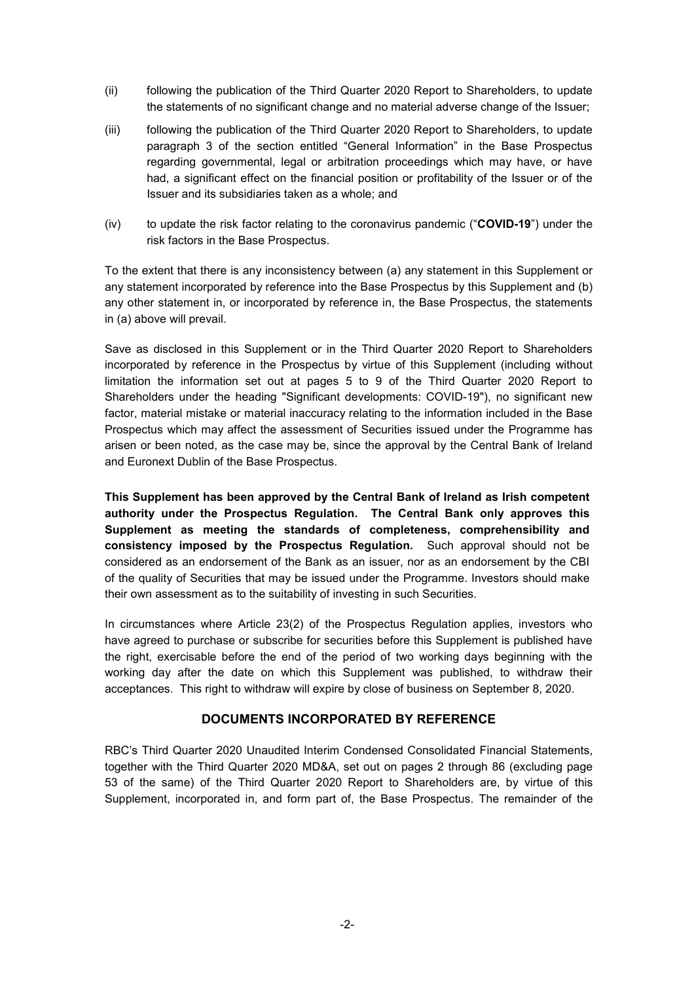- (ii) following the publication of the Third Quarter 2020 Report to Shareholders, to update the statements of no significant change and no material adverse change of the Issuer;
- (iii) following the publication of the Third Quarter 2020 Report to Shareholders, to update paragraph 3 of the section entitled "General Information" in the Base Prospectus regarding governmental, legal or arbitration proceedings which may have, or have had, a significant effect on the financial position or profitability of the Issuer or of the Issuer and its subsidiaries taken as a whole; and
- (iv) to update the risk factor relating to the coronavirus pandemic ("**COVID-19**") under the risk factors in the Base Prospectus.

To the extent that there is any inconsistency between (a) any statement in this Supplement or any statement incorporated by reference into the Base Prospectus by this Supplement and (b) any other statement in, or incorporated by reference in, the Base Prospectus, the statements in (a) above will prevail.

Save as disclosed in this Supplement or in the Third Quarter 2020 Report to Shareholders incorporated by reference in the Prospectus by virtue of this Supplement (including without limitation the information set out at pages 5 to 9 of the Third Quarter 2020 Report to Shareholders under the heading "Significant developments: COVID-19"), no significant new factor, material mistake or material inaccuracy relating to the information included in the Base Prospectus which may affect the assessment of Securities issued under the Programme has arisen or been noted, as the case may be, since the approval by the Central Bank of Ireland and Euronext Dublin of the Base Prospectus.

**This Supplement has been approved by the Central Bank of Ireland as Irish competent authority under the Prospectus Regulation. The Central Bank only approves this Supplement as meeting the standards of completeness, comprehensibility and consistency imposed by the Prospectus Regulation.** Such approval should not be considered as an endorsement of the Bank as an issuer, nor as an endorsement by the CBI of the quality of Securities that may be issued under the Programme. Investors should make their own assessment as to the suitability of investing in such Securities.

In circumstances where Article 23(2) of the Prospectus Regulation applies, investors who have agreed to purchase or subscribe for securities before this Supplement is published have the right, exercisable before the end of the period of two working days beginning with the working day after the date on which this Supplement was published, to withdraw their acceptances. This right to withdraw will expire by close of business on September 8, 2020.

#### **DOCUMENTS INCORPORATED BY REFERENCE**

RBC's Third Quarter 2020 Unaudited Interim Condensed Consolidated Financial Statements, together with the Third Quarter 2020 MD&A, set out on pages 2 through 86 (excluding page 53 of the same) of the Third Quarter 2020 Report to Shareholders are, by virtue of this Supplement, incorporated in, and form part of, the Base Prospectus. The remainder of the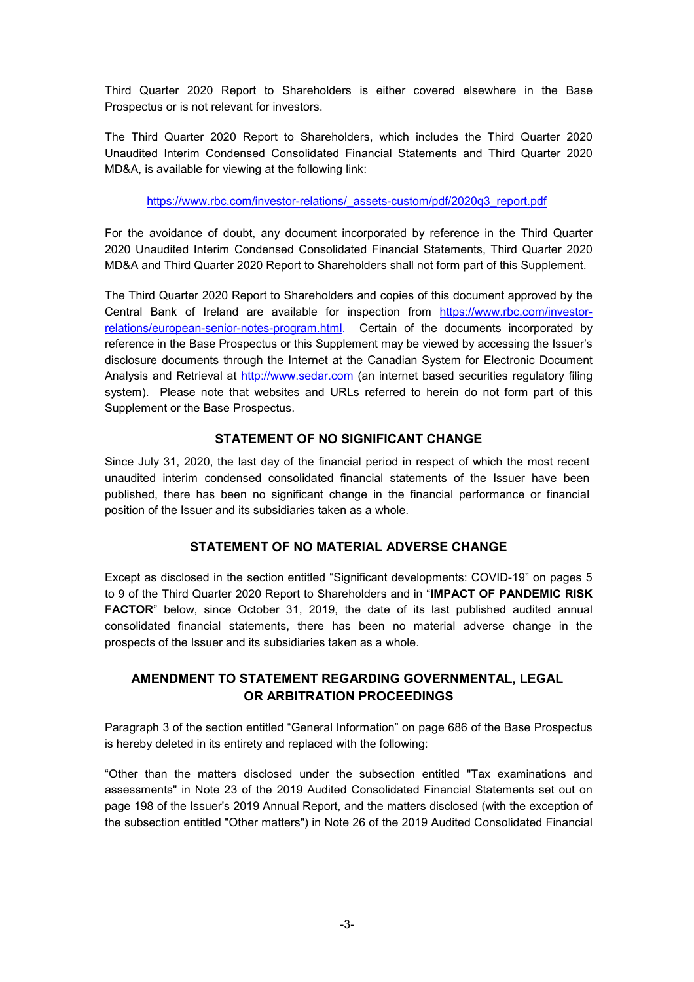Third Quarter 2020 Report to Shareholders is either covered elsewhere in the Base Prospectus or is not relevant for investors.

The Third Quarter 2020 Report to Shareholders, which includes the Third Quarter 2020 Unaudited Interim Condensed Consolidated Financial Statements and Third Quarter 2020 MD&A, is available for viewing at the following link:

https://www.rbc.com/investor-relations/\_assets-custom/pdf/2020q3\_report.pdf

For the avoidance of doubt, any document incorporated by reference in the Third Quarter 2020 Unaudited Interim Condensed Consolidated Financial Statements, Third Quarter 2020 MD&A and Third Quarter 2020 Report to Shareholders shall not form part of this Supplement.

The Third Quarter 2020 Report to Shareholders and copies of this document approved by the Central Bank of Ireland are available for inspection from https://www.rbc.com/investorrelations/european-senior-notes-program.html. Certain of the documents incorporated by reference in the Base Prospectus or this Supplement may be viewed by accessing the Issuer's disclosure documents through the Internet at the Canadian System for Electronic Document Analysis and Retrieval at http://www.sedar.com (an internet based securities regulatory filing system). Please note that websites and URLs referred to herein do not form part of this Supplement or the Base Prospectus.

#### **STATEMENT OF NO SIGNIFICANT CHANGE**

Since July 31, 2020, the last day of the financial period in respect of which the most recent unaudited interim condensed consolidated financial statements of the Issuer have been published, there has been no significant change in the financial performance or financial position of the Issuer and its subsidiaries taken as a whole.

### **STATEMENT OF NO MATERIAL ADVERSE CHANGE**

Except as disclosed in the section entitled "Significant developments: COVID-19" on pages 5 to 9 of the Third Quarter 2020 Report to Shareholders and in "**IMPACT OF PANDEMIC RISK FACTOR**" below, since October 31, 2019, the date of its last published audited annual consolidated financial statements, there has been no material adverse change in the prospects of the Issuer and its subsidiaries taken as a whole.

### **AMENDMENT TO STATEMENT REGARDING GOVERNMENTAL, LEGAL OR ARBITRATION PROCEEDINGS**

Paragraph 3 of the section entitled "General Information" on page 686 of the Base Prospectus is hereby deleted in its entirety and replaced with the following:

"Other than the matters disclosed under the subsection entitled "Tax examinations and assessments" in Note 23 of the 2019 Audited Consolidated Financial Statements set out on page 198 of the Issuer's 2019 Annual Report, and the matters disclosed (with the exception of the subsection entitled "Other matters") in Note 26 of the 2019 Audited Consolidated Financial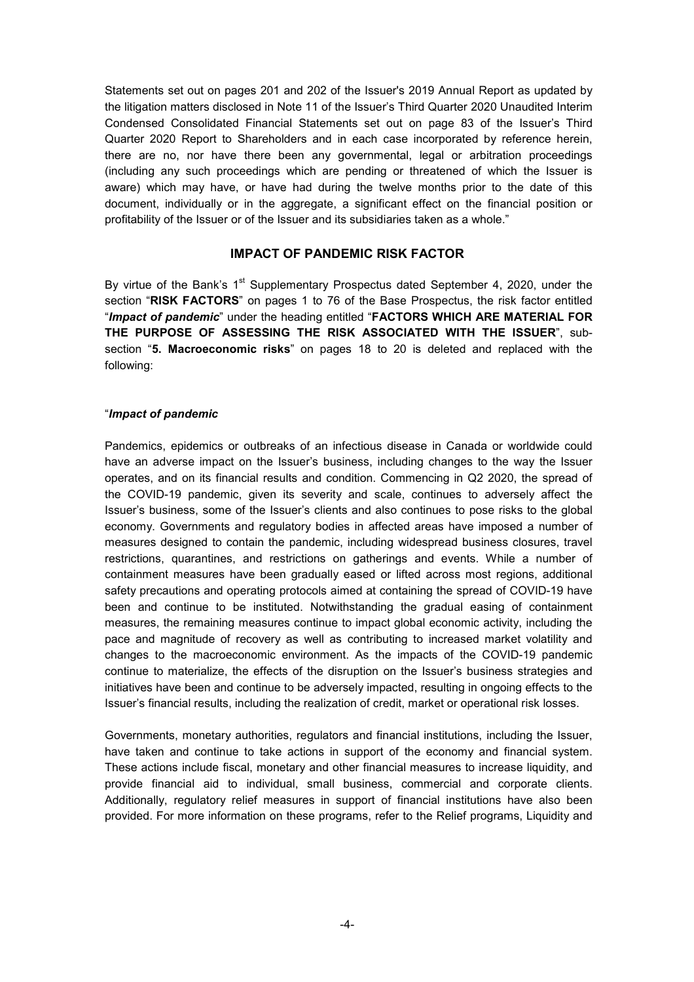Statements set out on pages 201 and 202 of the Issuer's 2019 Annual Report as updated by the litigation matters disclosed in Note 11 of the Issuer's Third Quarter 2020 Unaudited Interim Condensed Consolidated Financial Statements set out on page 83 of the Issuer's Third Quarter 2020 Report to Shareholders and in each case incorporated by reference herein, there are no, nor have there been any governmental, legal or arbitration proceedings (including any such proceedings which are pending or threatened of which the Issuer is aware) which may have, or have had during the twelve months prior to the date of this document, individually or in the aggregate, a significant effect on the financial position or profitability of the Issuer or of the Issuer and its subsidiaries taken as a whole."

#### **IMPACT OF PANDEMIC RISK FACTOR**

By virtue of the Bank's  $1<sup>st</sup>$  Supplementary Prospectus dated September 4, 2020, under the section "**RISK FACTORS**" on pages 1 to 76 of the Base Prospectus, the risk factor entitled "*Impact of pandemic*" under the heading entitled "**FACTORS WHICH ARE MATERIAL FOR THE PURPOSE OF ASSESSING THE RISK ASSOCIATED WITH THE ISSUER**", subsection "**5. Macroeconomic risks**" on pages 18 to 20 is deleted and replaced with the following:

#### "*Impact of pandemic*

Pandemics, epidemics or outbreaks of an infectious disease in Canada or worldwide could have an adverse impact on the Issuer's business, including changes to the way the Issuer operates, and on its financial results and condition. Commencing in Q2 2020, the spread of the COVID-19 pandemic, given its severity and scale, continues to adversely affect the Issuer's business, some of the Issuer's clients and also continues to pose risks to the global economy. Governments and regulatory bodies in affected areas have imposed a number of measures designed to contain the pandemic, including widespread business closures, travel restrictions, quarantines, and restrictions on gatherings and events. While a number of containment measures have been gradually eased or lifted across most regions, additional safety precautions and operating protocols aimed at containing the spread of COVID-19 have been and continue to be instituted. Notwithstanding the gradual easing of containment measures, the remaining measures continue to impact global economic activity, including the pace and magnitude of recovery as well as contributing to increased market volatility and changes to the macroeconomic environment. As the impacts of the COVID-19 pandemic continue to materialize, the effects of the disruption on the Issuer's business strategies and initiatives have been and continue to be adversely impacted, resulting in ongoing effects to the Issuer's financial results, including the realization of credit, market or operational risk losses.

Governments, monetary authorities, regulators and financial institutions, including the Issuer, have taken and continue to take actions in support of the economy and financial system. These actions include fiscal, monetary and other financial measures to increase liquidity, and provide financial aid to individual, small business, commercial and corporate clients. Additionally, regulatory relief measures in support of financial institutions have also been provided. For more information on these programs, refer to the Relief programs, Liquidity and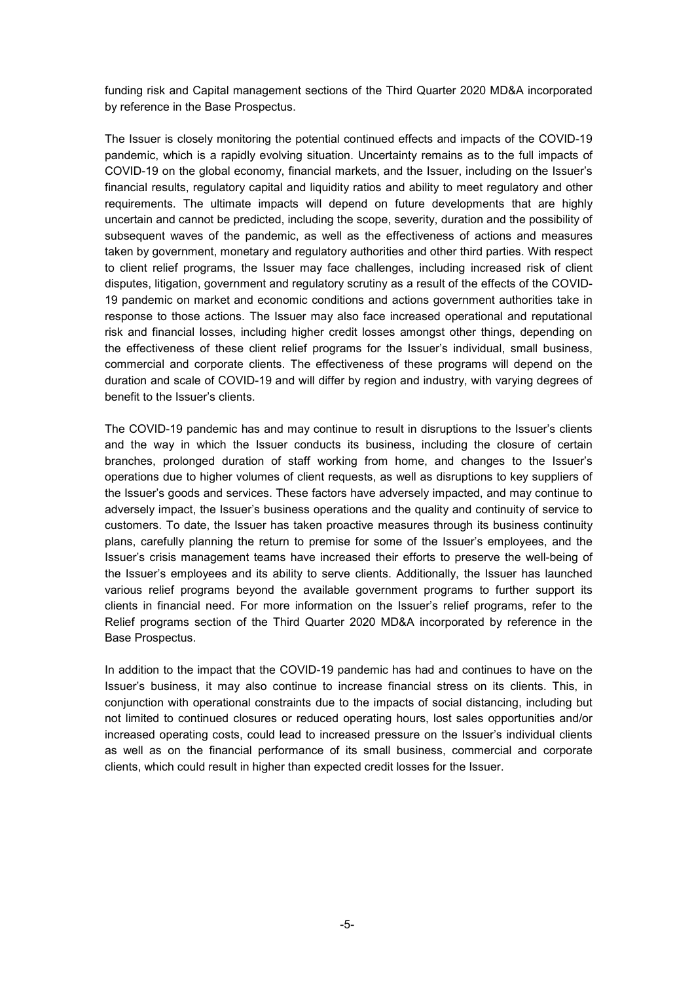funding risk and Capital management sections of the Third Quarter 2020 MD&A incorporated by reference in the Base Prospectus.

The Issuer is closely monitoring the potential continued effects and impacts of the COVID-19 pandemic, which is a rapidly evolving situation. Uncertainty remains as to the full impacts of COVID-19 on the global economy, financial markets, and the Issuer, including on the Issuer's financial results, regulatory capital and liquidity ratios and ability to meet regulatory and other requirements. The ultimate impacts will depend on future developments that are highly uncertain and cannot be predicted, including the scope, severity, duration and the possibility of subsequent waves of the pandemic, as well as the effectiveness of actions and measures taken by government, monetary and regulatory authorities and other third parties. With respect to client relief programs, the Issuer may face challenges, including increased risk of client disputes, litigation, government and regulatory scrutiny as a result of the effects of the COVID-19 pandemic on market and economic conditions and actions government authorities take in response to those actions. The Issuer may also face increased operational and reputational risk and financial losses, including higher credit losses amongst other things, depending on the effectiveness of these client relief programs for the Issuer's individual, small business, commercial and corporate clients. The effectiveness of these programs will depend on the duration and scale of COVID-19 and will differ by region and industry, with varying degrees of benefit to the Issuer's clients.

The COVID-19 pandemic has and may continue to result in disruptions to the Issuer's clients and the way in which the Issuer conducts its business, including the closure of certain branches, prolonged duration of staff working from home, and changes to the Issuer's operations due to higher volumes of client requests, as well as disruptions to key suppliers of the Issuer's goods and services. These factors have adversely impacted, and may continue to adversely impact, the Issuer's business operations and the quality and continuity of service to customers. To date, the Issuer has taken proactive measures through its business continuity plans, carefully planning the return to premise for some of the Issuer's employees, and the Issuer's crisis management teams have increased their efforts to preserve the well-being of the Issuer's employees and its ability to serve clients. Additionally, the Issuer has launched various relief programs beyond the available government programs to further support its clients in financial need. For more information on the Issuer's relief programs, refer to the Relief programs section of the Third Quarter 2020 MD&A incorporated by reference in the Base Prospectus.

In addition to the impact that the COVID-19 pandemic has had and continues to have on the Issuer's business, it may also continue to increase financial stress on its clients. This, in conjunction with operational constraints due to the impacts of social distancing, including but not limited to continued closures or reduced operating hours, lost sales opportunities and/or increased operating costs, could lead to increased pressure on the Issuer's individual clients as well as on the financial performance of its small business, commercial and corporate clients, which could result in higher than expected credit losses for the Issuer.